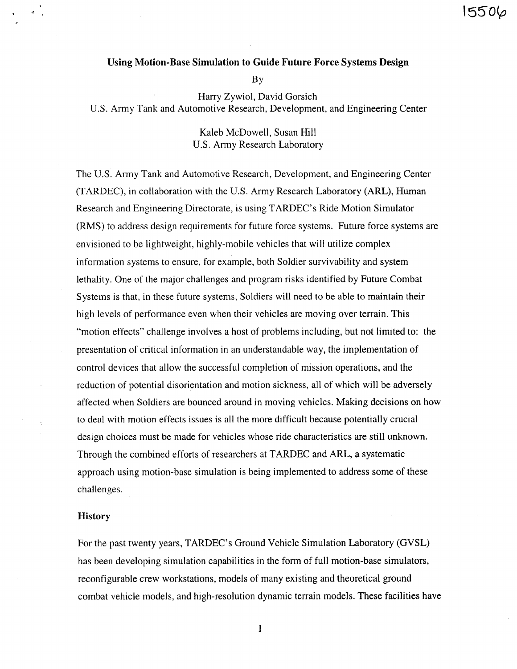### Using Motion-Base Simulation to Guide Future Force Systems Design

**By** 

Harry Zywiol, David Gorsich U.S. Army Tank and Automotive Research, Development, and Engineering Center

> Kaleb McDowell, Susan Hill **U.S. Army Research Laboratory**

The U.S. Army Tank and Automotive Research, Development, and Engineering Center (TARDEC), in collaboration with the U.S. Army Research Laboratory (ARL), Human Research and Engineering Directorate, is using TARDEC's Ride Motion Simulator (RMS) to address design requirements for future force systems. Future force systems are envisioned to be lightweight, highly-mobile vehicles that will utilize complex information systems to ensure, for example, both Soldier survivability and system lethality. One of the major challenges and program risks identified by Future Combat Systems is that, in these future systems, Soldiers will need to be able to maintain their high levels of performance even when their vehicles are moving over terrain. This "motion effects" challenge involves a host of problems including, but not limited to: the presentation of critical information in an understandable way, the implementation of control devices that allow the successful completion of mission operations, and the reduction of potential disorientation and motion sickness, all of which will be adversely affected when Soldiers are bounced around in moving vehicles. Making decisions on how to deal with motion effects issues is all the more difficult because potentially crucial design choices must be made for vehicles whose ride characteristics are still unknown. Through the combined efforts of researchers at TARDEC and ARL, a systematic approach using motion-base simulation is being implemented to address some of these challenges.

### **History**

₫.

For the past twenty years, TARDEC's Ground Vehicle Simulation Laboratory (GVSL) has been developing simulation capabilities in the form of full motion-base simulators, reconfigurable crew workstations, models of many existing and theoretical ground combat vehicle models, and high-resolution dynamic terrain models. These facilities have

 $\mathbf{1}$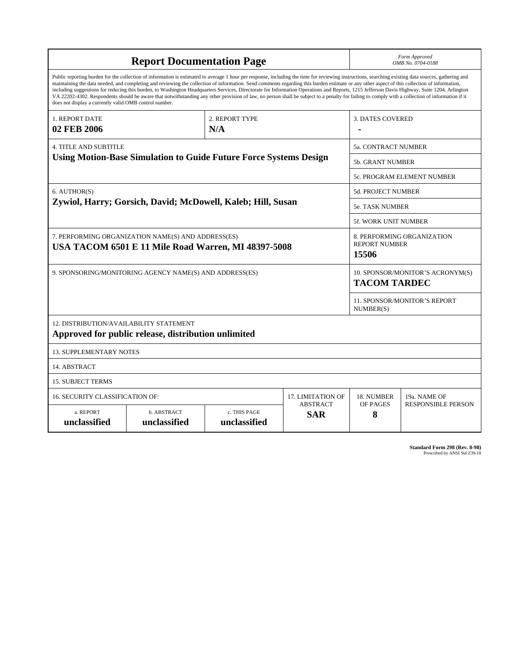| <b>Report Documentation Page</b>                                                                                                                                                                                                                                                                                                                                                                                                                                                                                                                                                                                                                                                                                                                                                                                                                                   |                             |                              |                               |                        | Form Approved<br>OMB No. 0704-0188                          |  |  |
|--------------------------------------------------------------------------------------------------------------------------------------------------------------------------------------------------------------------------------------------------------------------------------------------------------------------------------------------------------------------------------------------------------------------------------------------------------------------------------------------------------------------------------------------------------------------------------------------------------------------------------------------------------------------------------------------------------------------------------------------------------------------------------------------------------------------------------------------------------------------|-----------------------------|------------------------------|-------------------------------|------------------------|-------------------------------------------------------------|--|--|
| Public reporting burden for the collection of information is estimated to average 1 hour per response, including the time for reviewing instructions, searching existing data sources, gathering and<br>maintaining the data needed, and completing and reviewing the collection of information. Send comments regarding this burden estimate or any other aspect of this collection of information,<br>including suggestions for reducing this burden, to Washington Headquarters Services, Directorate for Information Operations and Reports, 1215 Jefferson Davis Highway, Suite 1204, Arlington<br>VA 22202-4302. Respondents should be aware that notwithstanding any other provision of law, no person shall be subject to a penalty for failing to comply with a collection of information if it<br>does not display a currently valid OMB control number. |                             |                              |                               |                        |                                                             |  |  |
| 1. REPORT DATE<br>02 FEB 2006                                                                                                                                                                                                                                                                                                                                                                                                                                                                                                                                                                                                                                                                                                                                                                                                                                      |                             | 2. REPORT TYPE<br>N/A        |                               | 3. DATES COVERED       |                                                             |  |  |
| <b>4. TITLE AND SUBTITLE</b>                                                                                                                                                                                                                                                                                                                                                                                                                                                                                                                                                                                                                                                                                                                                                                                                                                       |                             |                              |                               | 5a. CONTRACT NUMBER    |                                                             |  |  |
| <b>Using Motion-Base Simulation to Guide Future Force Systems Design</b>                                                                                                                                                                                                                                                                                                                                                                                                                                                                                                                                                                                                                                                                                                                                                                                           |                             |                              |                               |                        | <b>5b. GRANT NUMBER</b>                                     |  |  |
|                                                                                                                                                                                                                                                                                                                                                                                                                                                                                                                                                                                                                                                                                                                                                                                                                                                                    |                             |                              |                               |                        | 5c. PROGRAM ELEMENT NUMBER                                  |  |  |
| 6. AUTHOR(S)                                                                                                                                                                                                                                                                                                                                                                                                                                                                                                                                                                                                                                                                                                                                                                                                                                                       |                             |                              |                               |                        | 5d. PROJECT NUMBER                                          |  |  |
| Zywiol, Harry; Gorsich, David; McDowell, Kaleb; Hill, Susan                                                                                                                                                                                                                                                                                                                                                                                                                                                                                                                                                                                                                                                                                                                                                                                                        |                             |                              |                               | <b>5e. TASK NUMBER</b> |                                                             |  |  |
|                                                                                                                                                                                                                                                                                                                                                                                                                                                                                                                                                                                                                                                                                                                                                                                                                                                                    |                             |                              |                               |                        | 5f. WORK UNIT NUMBER                                        |  |  |
| 7. PERFORMING ORGANIZATION NAME(S) AND ADDRESS(ES)<br>USA TACOM 6501 E 11 Mile Road Warren, MI 48397-5008                                                                                                                                                                                                                                                                                                                                                                                                                                                                                                                                                                                                                                                                                                                                                          |                             |                              |                               |                        | 8. PERFORMING ORGANIZATION<br><b>REPORT NUMBER</b><br>15506 |  |  |
| 9. SPONSORING/MONITORING AGENCY NAME(S) AND ADDRESS(ES)                                                                                                                                                                                                                                                                                                                                                                                                                                                                                                                                                                                                                                                                                                                                                                                                            |                             |                              |                               |                        | 10. SPONSOR/MONITOR'S ACRONYM(S)<br><b>TACOM TARDEC</b>     |  |  |
|                                                                                                                                                                                                                                                                                                                                                                                                                                                                                                                                                                                                                                                                                                                                                                                                                                                                    |                             |                              |                               |                        | 11. SPONSOR/MONITOR'S REPORT<br>NUMBER(S)                   |  |  |
| <b>12. DISTRIBUTION/AVAILABILITY STATEMENT</b><br>Approved for public release, distribution unlimited                                                                                                                                                                                                                                                                                                                                                                                                                                                                                                                                                                                                                                                                                                                                                              |                             |                              |                               |                        |                                                             |  |  |
| <b>13. SUPPLEMENTARY NOTES</b>                                                                                                                                                                                                                                                                                                                                                                                                                                                                                                                                                                                                                                                                                                                                                                                                                                     |                             |                              |                               |                        |                                                             |  |  |
| 14. ABSTRACT                                                                                                                                                                                                                                                                                                                                                                                                                                                                                                                                                                                                                                                                                                                                                                                                                                                       |                             |                              |                               |                        |                                                             |  |  |
| <b>15. SUBJECT TERMS</b>                                                                                                                                                                                                                                                                                                                                                                                                                                                                                                                                                                                                                                                                                                                                                                                                                                           |                             |                              |                               |                        |                                                             |  |  |
| 16. SECURITY CLASSIFICATION OF:                                                                                                                                                                                                                                                                                                                                                                                                                                                                                                                                                                                                                                                                                                                                                                                                                                    | 17. LIMITATION OF           | 18. NUMBER                   | 19a. NAME OF                  |                        |                                                             |  |  |
| a. REPORT<br>unclassified                                                                                                                                                                                                                                                                                                                                                                                                                                                                                                                                                                                                                                                                                                                                                                                                                                          | b. ABSTRACT<br>unclassified | c. THIS PAGE<br>unclassified | <b>ABSTRACT</b><br><b>SAR</b> | OF PAGES<br>8          | <b>RESPONSIBLE PERSON</b>                                   |  |  |

| <b>Standard Form 298 (Rev. 8-98)</b> |                               |  |  |
|--------------------------------------|-------------------------------|--|--|
|                                      | Prescribed by ANSI Std Z39-18 |  |  |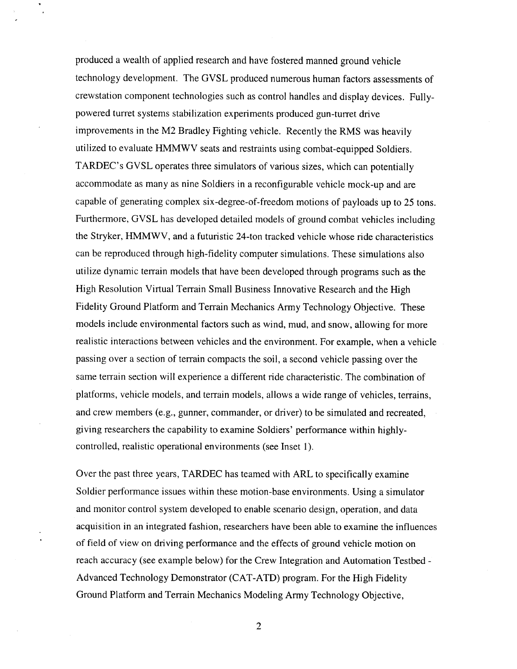produced a wealth of applied research and have fostered manned ground vehicle technology development. The GVSL produced numerous human factors assessments of crewstation component technologies such as control handles and display devices. Fullypowered turret systems stabilization experiments produced gun-turret drive improvements in the M2 Bradley Fighting vehicle. Recently the RMS was heavily utilized to evaluate HMMWV seats and restraints using combat-equipped Soldiers. TARDEC's GVSL operates three simulators of various sizes, which can potentially accommodate as many as nine Soldiers in a reconfigurable vehicle mock-up and are capable of generating complex six-degree-of-freedom motions of payloads up to 25 tons. Furthermore, GVSL has developed detailed models of ground combat vehicles including the Stryker, HMMWV, and a futuristic 24-ton tracked vehicle whose ride characteristics can be reproduced through high-fidelity computer simulations. These simulations also utilize dynamic terrain models that have been developed through programs such as the High Resolution Virtual Terrain Small Business Innovative Research and the High Fidelity Ground Platform and Terrain Mechanics Army Technology Objective. These models include environmental factors such as wind, mud, and snow, allowing for more realistic interactions between vehicles and the environment. For example, when a vehicle passing over a section of terrain compacts the soil, a second vehicle passing over the same terrain section will experience a different ride characteristic. The combination of platforms, vehicle models, and terrain models, allows a wide range of vehicles, terrains, and crew members (e.g., gunner, commander, or driver) to be simulated and recreated, giving researchers the capability to examine Soldiers' performance within highlycontrolled, realistic operational environments (see Inset 1).

Over the past three years, TARDEC has teamed with ARL to specifically examine Soldier performance issues within these motion-base environments. Using a simulator and monitor control system developed to enable scenario design, operation, and data acquisition in an integrated fashion, researchers have been able to examine the influences of field of view on driving performance and the effects of ground vehicle motion on reach accuracy (see example below) for the Crew Integration and Automation Testbed -Advanced Technology Demonstrator (CAT-ATD) program. For the High Fidelity Ground Platform and Terrain Mechanics Modeling Army Technology Objective,

 $\overline{2}$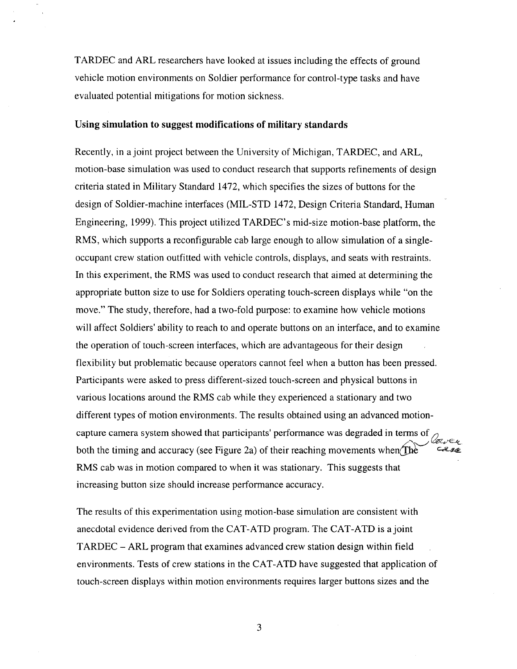TARDEC and ARL researchers have looked at issues including the effects of ground vehicle motion environments on Soldier performance for control-type tasks and have evaluated potential mitigations for motion sickness.

#### Using simulation to suggest modifications of military standards

Recently, in a joint project between the University of Michigan, TARDEC, and ARL, motion-base simulation was used to conduct research that supports refinements of design criteria stated in Military Standard 1472, which specifies the sizes of buttons for the design of Soldier-machine interfaces (MIL-STD 1472, Design Criteria Standard, Human Engineering, 1999). This project utilized TARDEC's mid-size motion-base platform, the RMS, which supports a reconfigurable cab large enough to allow simulation of a singleoccupant crew station outfitted with vehicle controls, displays, and seats with restraints. In this experiment, the RMS was used to conduct research that aimed at determining the appropriate button size to use for Soldiers operating touch-screen displays while "on the move." The study, therefore, had a two-fold purpose: to examine how vehicle motions will affect Soldiers' ability to reach to and operate buttons on an interface, and to examine the operation of touch-screen interfaces, which are advantageous for their design flexibility but problematic because operators cannot feel when a button has been pressed. Participants were asked to press different-sized touch-screen and physical buttons in various locations around the RMS cab while they experienced a stationary and two different types of motion environments. The results obtained using an advanced motioncapture camera system showed that participants' performance was degraded in terms of both the timing and accuracy (see Figure 2a) of their reaching movements when The  $czzz$ RMS cab was in motion compared to when it was stationary. This suggests that increasing button size should increase performance accuracy.

The results of this experimentation using motion-base simulation are consistent with anecdotal evidence derived from the CAT-ATD program. The CAT-ATD is a joint TARDEC – ARL program that examines advanced crew station design within field environments. Tests of crew stations in the CAT-ATD have suggested that application of touch-screen displays within motion environments requires larger buttons sizes and the

3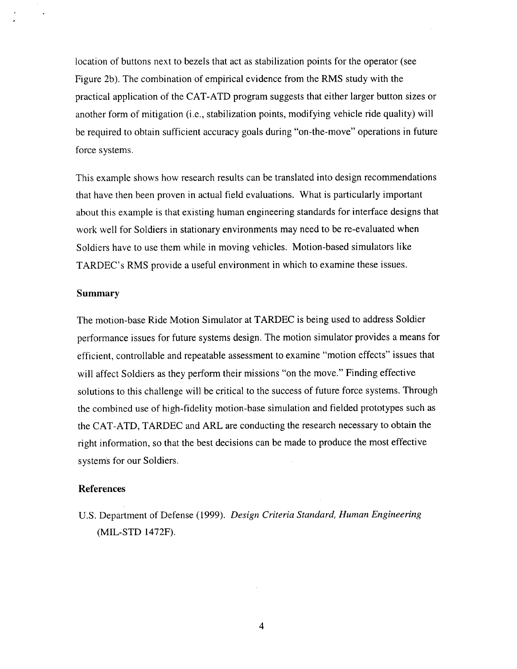location of buttons next to bezels that act as stabilization points for the operator (see Figure 2b). The combination of empirical evidence from the RMS study with the practical application of the CAT-ATD program suggests that either larger button sizes or another form of mitigation (i.e., stabilization points, modifying vehicle ride quality) will be required to obtain sufficient accuracy goals during "on-the-move" operations in future force systems.

This example shows how research results can be translated into design recommendations that have then been proven in actual field evaluations. What is particularly important about this example is that existing human engineering standards for interface designs that work well for Soldiers in stationary environments may need to be re-evaluated when Soldiers have to use them while in moving vehicles. Motion-based simulators like TARDEC's RMS provide a useful environment in which to examine these issues.

#### **Summary**

The motion-base Ride Motion Simulator at TARDEC is being used to address Soldier performance issues for future systems design. The motion simulator provides a means for efficient, controllable and repeatable assessment to examine "motion effects" issues that will affect Soldiers as they perform their missions "on the move." Finding effective solutions to this challenge will be critical to the success of future force systems. Through the combined use of high-fidelity motion-base simulation and fielded prototypes such as the CAT-ATD, TARDEC and ARL are conducting the research necessary to obtain the right information, so that the best decisions can be made to produce the most effective systems for our Soldiers.

#### **References**

U.S. Department of Defense (1999). Design Criteria Standard, Human Engineering (MIL-STD 1472F).

4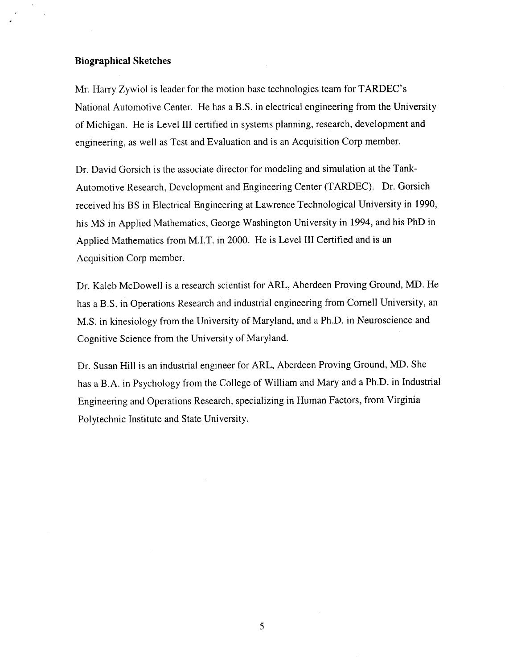### **Biographical Sketches**

Mr. Harry Zywiol is leader for the motion base technologies team for TARDEC's National Automotive Center. He has a B.S. in electrical engineering from the University of Michigan. He is Level III certified in systems planning, research, development and engineering, as well as Test and Evaluation and is an Acquisition Corp member.

Dr. David Gorsich is the associate director for modeling and simulation at the Tank-Automotive Research, Development and Engineering Center (TARDEC). Dr. Gorsich received his BS in Electrical Engineering at Lawrence Technological University in 1990, his MS in Applied Mathematics, George Washington University in 1994, and his PhD in Applied Mathematics from M.I.T. in 2000. He is Level III Certified and is an Acquisition Corp member.

Dr. Kaleb McDowell is a research scientist for ARL, Aberdeen Proving Ground, MD. He has a B.S. in Operations Research and industrial engineering from Cornell University, an M.S. in kinesiology from the University of Maryland, and a Ph.D. in Neuroscience and Cognitive Science from the University of Maryland.

Dr. Susan Hill is an industrial engineer for ARL, Aberdeen Proving Ground, MD. She has a B.A. in Psychology from the College of William and Mary and a Ph.D. in Industrial Engineering and Operations Research, specializing in Human Factors, from Virginia Polytechnic Institute and State University.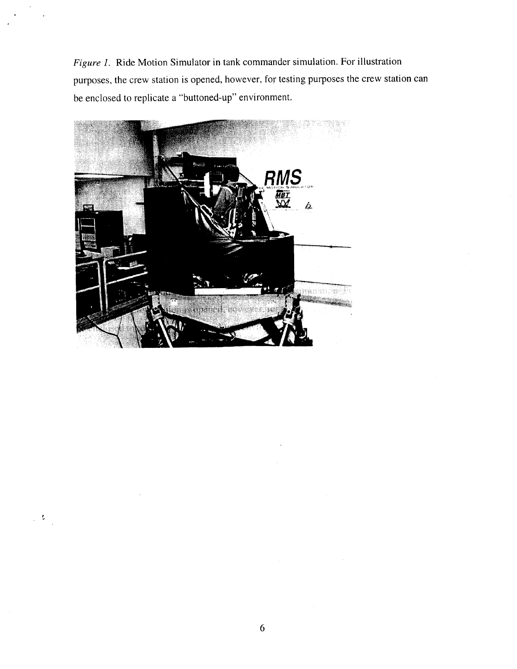Figure 1. Ride Motion Simulator in tank commander simulation. For illustration purposes, the crew station is opened, however, for testing purposes the crew station can be enclosed to replicate a "buttoned-up" environment.



 $\sim 2$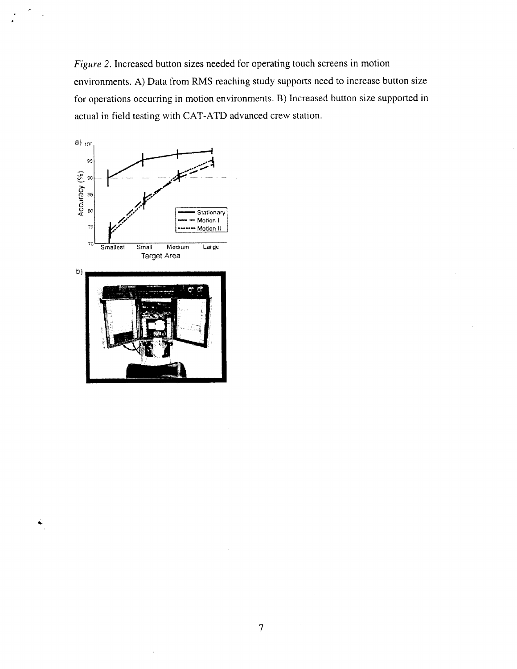Figure 2. Increased button sizes needed for operating touch screens in motion environments. A) Data from RMS reaching study supports need to increase button size for operations occurring in motion environments. B) Increased button size supported in actual in field testing with CAT-ATD advanced crew station.



 $\ddot{\bullet}$